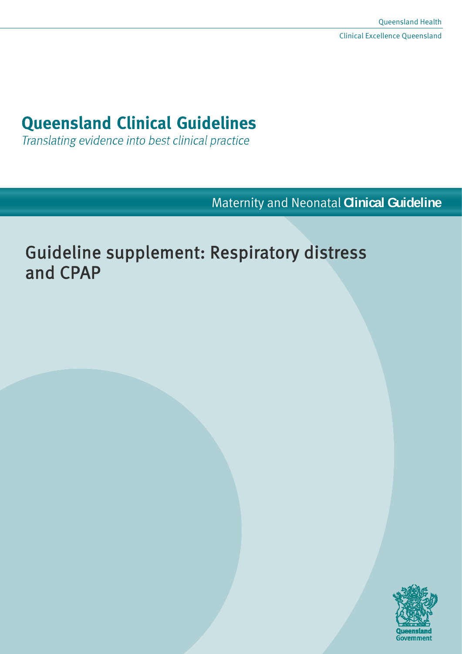# **Queensland Clinical Guidelines**

Translating evidence into best clinical practice

Maternity and Neonatal **Clinical Guideline**

# Guideline supplement: Respiratory distress and CPAP

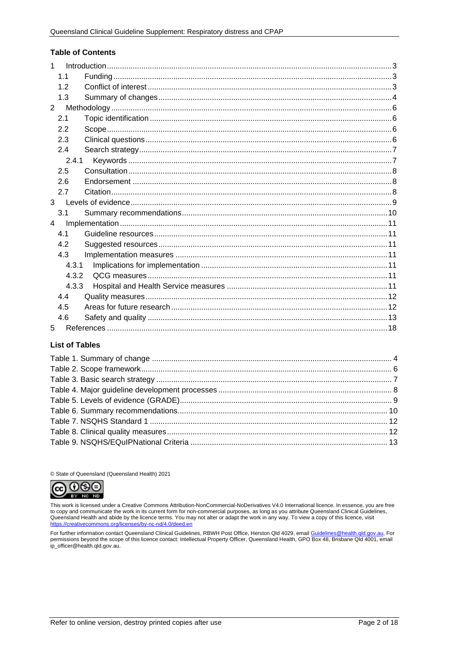#### **Table of Contents**

| 1              |       |  |
|----------------|-------|--|
|                | 1.1   |  |
|                | 12    |  |
|                | 1.3   |  |
| $2^{\circ}$    |       |  |
|                | 2.1   |  |
|                | 2.2   |  |
|                | 2.3   |  |
|                | 2.4   |  |
|                | 2.4.1 |  |
|                | 2.5   |  |
|                | 2.6   |  |
|                | 2.7   |  |
| $3 -$          |       |  |
|                | 3.1   |  |
| $\overline{4}$ |       |  |
|                | 4.1   |  |
|                | 4.2   |  |
|                | 4.3   |  |
|                | 4.3.1 |  |
|                | 4.3.2 |  |
|                | 4.3.3 |  |
|                | 4.4   |  |
|                | 4.5   |  |
|                | 4.6   |  |
| 5              |       |  |

#### **List of Tables**

© State of Queensland (Queensland Health) 2021



This work is licensed under a Creative Commons Attribution-NonCommercial-NoDerivatives V4.0 International licence. In essence, you are free to copy and communicate the work in its current form for non-commercial purposes, as long as you attribute Queensland Clinical Guidelines,<br>Queensland Health and abide by the licence terms. You may not alter or adapt the wo

For further information contact Queensland Clinical Guidelines, RBWH Post Office, Herston Qld 4029, email Guidelines@health.qld.gov.au, For in the scope of this licence contact: Intellectual Property Officer, Queensland Health, GPO Box 48, Brisbane Qld 4001, email ip\_officer@health.qld.gov.au.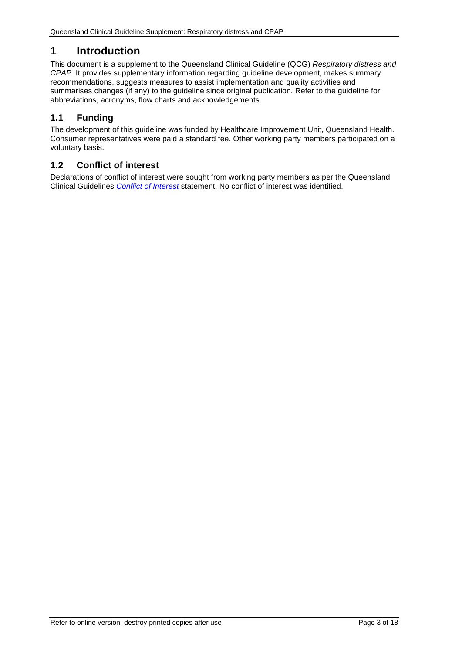# <span id="page-2-0"></span>**1 Introduction**

This document is a supplement to the Queensland Clinical Guideline (QCG) *Respiratory distress and CPAP.* It provides supplementary information regarding guideline development, makes summary recommendations, suggests measures to assist implementation and quality activities and summarises changes (if any) to the guideline since original publication. Refer to the guideline for abbreviations, acronyms, flow charts and acknowledgements.

# <span id="page-2-1"></span>**1.1 Funding**

The development of this guideline was funded by Healthcare Improvement Unit, Queensland Health. Consumer representatives were paid a standard fee. Other working party members participated on a voluntary basis.

# <span id="page-2-2"></span>**1.2 Conflict of interest**

Declarations of conflict of interest were sought from working party members as per the Queensland Clinical Guidelines *[Conflict of Interest](http://www.health.qld.gov.au/qcg/development#coi)* statement. No conflict of interest was identified.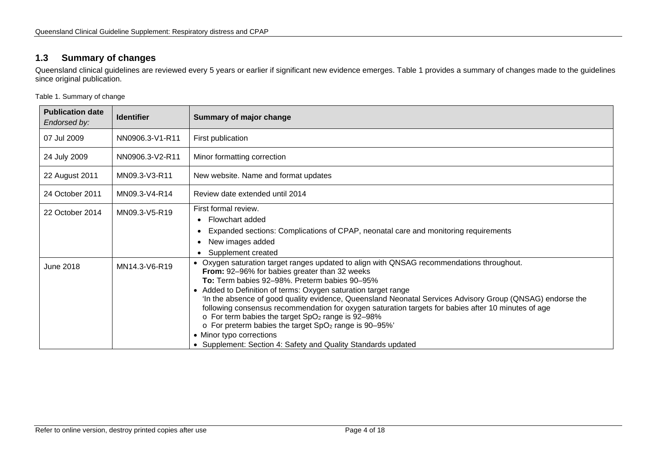# **1.3 Summary of changes**

Queensland clinical guidelines are reviewed every 5 years or earlier if significant new evidence emerges. [Table 1](#page-3-2) provides a summary of changes made to the guidelines since original publication.

<span id="page-3-2"></span>Table 1. Summary of change

<span id="page-3-1"></span><span id="page-3-0"></span>

| <b>Publication date</b><br>Endorsed by:             | <b>Identifier</b> | <b>Summary of major change</b>                                                                                                                                                                                                                                                                                                                                                                                                                                                                                                                                                                                                                                                                                                          |
|-----------------------------------------------------|-------------------|-----------------------------------------------------------------------------------------------------------------------------------------------------------------------------------------------------------------------------------------------------------------------------------------------------------------------------------------------------------------------------------------------------------------------------------------------------------------------------------------------------------------------------------------------------------------------------------------------------------------------------------------------------------------------------------------------------------------------------------------|
| 07 Jul 2009<br>NN0906.3-V1-R11<br>First publication |                   |                                                                                                                                                                                                                                                                                                                                                                                                                                                                                                                                                                                                                                                                                                                                         |
| 24 July 2009                                        | NN0906.3-V2-R11   | Minor formatting correction                                                                                                                                                                                                                                                                                                                                                                                                                                                                                                                                                                                                                                                                                                             |
| 22 August 2011                                      | MN09.3-V3-R11     | New website. Name and format updates                                                                                                                                                                                                                                                                                                                                                                                                                                                                                                                                                                                                                                                                                                    |
| 24 October 2011                                     | MN09.3-V4-R14     | Review date extended until 2014                                                                                                                                                                                                                                                                                                                                                                                                                                                                                                                                                                                                                                                                                                         |
| 22 October 2014                                     | MN09.3-V5-R19     | First formal review.<br>• Flowchart added<br>Expanded sections: Complications of CPAP, neonatal care and monitoring requirements<br>New images added<br>Supplement created                                                                                                                                                                                                                                                                                                                                                                                                                                                                                                                                                              |
| June 2018                                           | MN14.3-V6-R19     | • Oxygen saturation target ranges updated to align with QNSAG recommendations throughout.<br>From: 92-96% for babies greater than 32 weeks<br><b>To:</b> Term babies 92–98%. Preterm babies 90–95%<br>• Added to Definition of terms: Oxygen saturation target range<br>'In the absence of good quality evidence, Queensland Neonatal Services Advisory Group (QNSAG) endorse the<br>following consensus recommendation for oxygen saturation targets for babies after 10 minutes of age<br>$\circ$ For term babies the target SpO <sub>2</sub> range is 92-98%<br>$\circ$ For preterm babies the target SpO <sub>2</sub> range is 90-95%'<br>• Minor typo corrections<br>• Supplement: Section 4: Safety and Quality Standards updated |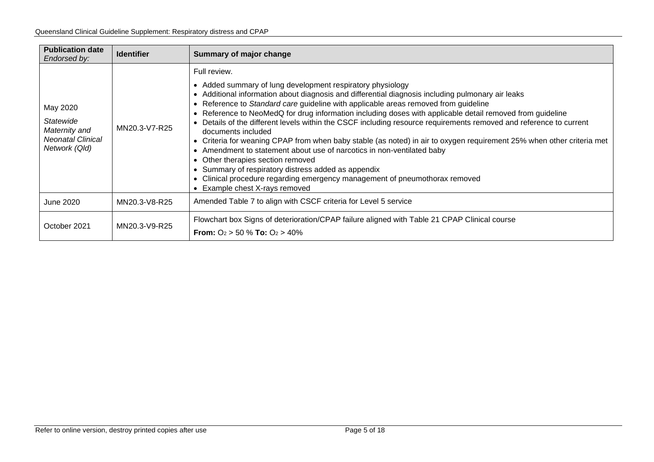| <b>Publication date</b><br>Endorsed by:                                             | <b>Identifier</b> | Summary of major change                                                                                                                                                                                                                                                                                                                                                                                                                                                                                                                                                                                                                                                                                                                                                                                                                                                                                                     |
|-------------------------------------------------------------------------------------|-------------------|-----------------------------------------------------------------------------------------------------------------------------------------------------------------------------------------------------------------------------------------------------------------------------------------------------------------------------------------------------------------------------------------------------------------------------------------------------------------------------------------------------------------------------------------------------------------------------------------------------------------------------------------------------------------------------------------------------------------------------------------------------------------------------------------------------------------------------------------------------------------------------------------------------------------------------|
| May 2020<br>Statewide<br>Maternity and<br><b>Neonatal Clinical</b><br>Network (Qld) | MN20.3-V7-R25     | Full review.<br>Added summary of lung development respiratory physiology<br>Additional information about diagnosis and differential diagnosis including pulmonary air leaks<br>Reference to Standard care guideline with applicable areas removed from guideline<br>Reference to NeoMedQ for drug information including doses with applicable detail removed from guideline<br>Details of the different levels within the CSCF including resource requirements removed and reference to current<br>documents included<br>Criteria for weaning CPAP from when baby stable (as noted) in air to oxygen requirement 25% when other criteria met<br>Amendment to statement about use of narcotics in non-ventilated baby<br>Other therapies section removed<br>Summary of respiratory distress added as appendix<br>Clinical procedure regarding emergency management of pneumothorax removed<br>• Example chest X-rays removed |
| June 2020                                                                           | MN20.3-V8-R25     | Amended Table 7 to align with CSCF criteria for Level 5 service                                                                                                                                                                                                                                                                                                                                                                                                                                                                                                                                                                                                                                                                                                                                                                                                                                                             |
| October 2021                                                                        | MN20.3-V9-R25     | Flowchart box Signs of deterioration/CPAP failure aligned with Table 21 CPAP Clinical course<br><b>From:</b> $O_2 > 50$ % <b>To:</b> $O_2 > 40\%$                                                                                                                                                                                                                                                                                                                                                                                                                                                                                                                                                                                                                                                                                                                                                                           |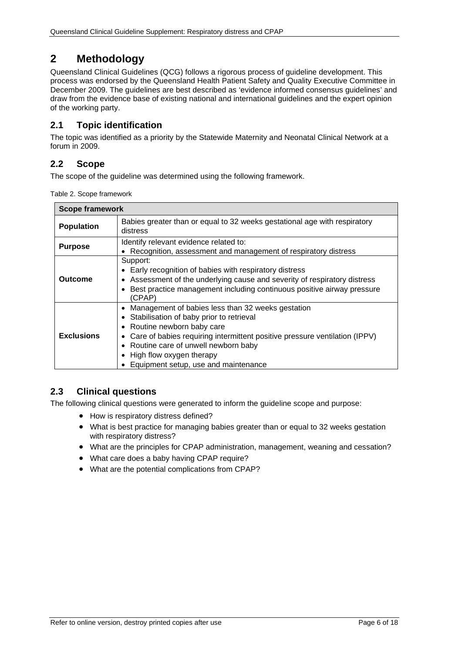# <span id="page-5-0"></span>**2 Methodology**

Queensland Clinical Guidelines (QCG) follows a rigorous process of guideline development. This process was endorsed by the Queensland Health Patient Safety and Quality Executive Committee in December 2009. The guidelines are best described as 'evidence informed consensus guidelines' and draw from the evidence base of existing national and international guidelines and the expert opinion of the working party.

# <span id="page-5-1"></span>**2.1 Topic identification**

The topic was identified as a priority by the Statewide Maternity and Neonatal Clinical Network at a forum in 2009.

# <span id="page-5-2"></span>**2.2 Scope**

<span id="page-5-4"></span>The scope of the guideline was determined using the following framework.

Table 2. Scope framework

| <b>Scope framework</b>                                                                                                                                                                                                                        |                                                                                                                                                                                                                                                                                                                               |  |  |
|-----------------------------------------------------------------------------------------------------------------------------------------------------------------------------------------------------------------------------------------------|-------------------------------------------------------------------------------------------------------------------------------------------------------------------------------------------------------------------------------------------------------------------------------------------------------------------------------|--|--|
| Babies greater than or equal to 32 weeks gestational age with respiratory<br><b>Population</b><br>distress                                                                                                                                    |                                                                                                                                                                                                                                                                                                                               |  |  |
| Identify relevant evidence related to:<br><b>Purpose</b><br>• Recognition, assessment and management of respiratory distress                                                                                                                  |                                                                                                                                                                                                                                                                                                                               |  |  |
| Support:<br>Early recognition of babies with respiratory distress<br>• Assessment of the underlying cause and severity of respiratory distress<br>Outcome<br>Best practice management including continuous positive airway pressure<br>(CPAP) |                                                                                                                                                                                                                                                                                                                               |  |  |
| <b>Exclusions</b>                                                                                                                                                                                                                             | • Management of babies less than 32 weeks gestation<br>• Stabilisation of baby prior to retrieval<br>• Routine newborn baby care<br>Care of babies requiring intermittent positive pressure ventilation (IPPV)<br>• Routine care of unwell newborn baby<br>• High flow oxygen therapy<br>Equipment setup, use and maintenance |  |  |

# <span id="page-5-3"></span>**2.3 Clinical questions**

The following clinical questions were generated to inform the guideline scope and purpose:

- How is respiratory distress defined?
- What is best practice for managing babies greater than or equal to 32 weeks gestation with respiratory distress?
- What are the principles for CPAP administration, management, weaning and cessation?
- What care does a baby having CPAP require?
- What are the potential complications from CPAP?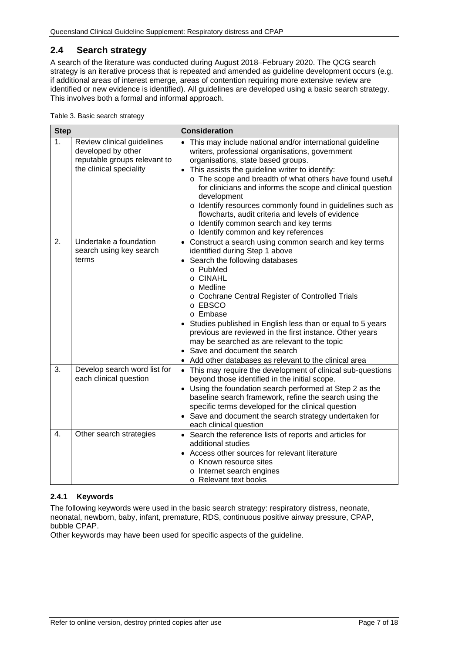# <span id="page-6-0"></span>**2.4 Search strategy**

A search of the literature was conducted during August 2018–February 2020. The QCG search strategy is an iterative process that is repeated and amended as guideline development occurs (e.g. if additional areas of interest emerge, areas of contention requiring more extensive review are identified or new evidence is identified). All guidelines are developed using a basic search strategy. This involves both a formal and informal approach.

<span id="page-6-2"></span>Table 3. Basic search strategy

| <b>Step</b> |                                                                                                             | <b>Consideration</b>                                                                                                                                                                                                                                                                                                                                                                                                                                                                                                                                            |  |  |
|-------------|-------------------------------------------------------------------------------------------------------------|-----------------------------------------------------------------------------------------------------------------------------------------------------------------------------------------------------------------------------------------------------------------------------------------------------------------------------------------------------------------------------------------------------------------------------------------------------------------------------------------------------------------------------------------------------------------|--|--|
| 1.          | Review clinical guidelines<br>developed by other<br>reputable groups relevant to<br>the clinical speciality | • This may include national and/or international guideline<br>writers, professional organisations, government<br>organisations, state based groups.<br>This assists the guideline writer to identify:<br>$\bullet$<br>o The scope and breadth of what others have found useful<br>for clinicians and informs the scope and clinical question<br>development<br>o Identify resources commonly found in guidelines such as<br>flowcharts, audit criteria and levels of evidence<br>o Identify common search and key terms<br>o Identify common and key references |  |  |
| 2.          | Undertake a foundation<br>search using key search<br>terms                                                  | • Construct a search using common search and key terms<br>identified during Step 1 above<br>Search the following databases<br>$\bullet$<br>o PubMed<br>o CINAHL<br>o Medline<br>o Cochrane Central Register of Controlled Trials<br>o EBSCO<br>o Embase<br>Studies published in English less than or equal to 5 years<br>previous are reviewed in the first instance. Other years<br>may be searched as are relevant to the topic<br>• Save and document the search<br>Add other databases as relevant to the clinical area                                     |  |  |
| 3.          | Develop search word list for<br>each clinical question                                                      | • This may require the development of clinical sub-questions<br>beyond those identified in the initial scope.<br>• Using the foundation search performed at Step 2 as the<br>baseline search framework, refine the search using the<br>specific terms developed for the clinical question<br>• Save and document the search strategy undertaken for<br>each clinical question                                                                                                                                                                                   |  |  |
| 4.          | Other search strategies                                                                                     | • Search the reference lists of reports and articles for<br>additional studies<br>Access other sources for relevant literature<br>o Known resource sites<br>o Internet search engines<br>o Relevant text books                                                                                                                                                                                                                                                                                                                                                  |  |  |

## <span id="page-6-1"></span>**2.4.1 Keywords**

The following keywords were used in the basic search strategy: respiratory distress, neonate, neonatal, newborn, baby, infant, premature, RDS, continuous positive airway pressure, CPAP, bubble CPAP.

Other keywords may have been used for specific aspects of the guideline.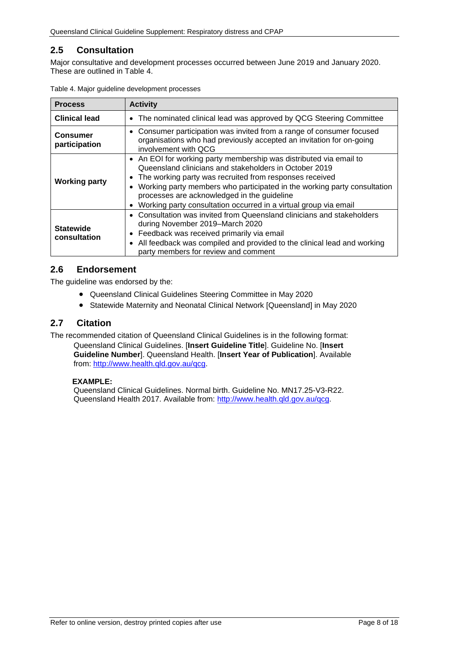# <span id="page-7-0"></span>**2.5 Consultation**

Major consultative and development processes occurred between June 2019 and January 2020. These are outlined in [Table 4.](#page-7-3)

| <b>Process</b>                   | <b>Activity</b>                                                                                                                                                                                                                                                                                                                                                                                                  |  |  |
|----------------------------------|------------------------------------------------------------------------------------------------------------------------------------------------------------------------------------------------------------------------------------------------------------------------------------------------------------------------------------------------------------------------------------------------------------------|--|--|
| <b>Clinical lead</b>             | • The nominated clinical lead was approved by QCG Steering Committee                                                                                                                                                                                                                                                                                                                                             |  |  |
| <b>Consumer</b><br>participation | • Consumer participation was invited from a range of consumer focused<br>organisations who had previously accepted an invitation for on-going<br>involvement with OCG                                                                                                                                                                                                                                            |  |  |
| <b>Working party</b>             | • An EOI for working party membership was distributed via email to<br>Queensland clinicians and stakeholders in October 2019<br>The working party was recruited from responses received<br>Working party members who participated in the working party consultation<br>$\bullet$<br>processes are acknowledged in the guideline<br>Working party consultation occurred in a virtual group via email<br>$\bullet$ |  |  |
| <b>Statewide</b><br>consultation | • Consultation was invited from Queensland clinicians and stakeholders<br>during November 2019–March 2020<br>Feedback was received primarily via email<br>$\bullet$<br>All feedback was compiled and provided to the clinical lead and working<br>$\bullet$<br>party members for review and comment                                                                                                              |  |  |

<span id="page-7-3"></span>

|  | Table 4. Major guideline development processes |  |
|--|------------------------------------------------|--|
|  |                                                |  |

# <span id="page-7-1"></span>**2.6 Endorsement**

The guideline was endorsed by the:

- Queensland Clinical Guidelines Steering Committee in May 2020
- Statewide Maternity and Neonatal Clinical Network [Queensland] in May 2020

## <span id="page-7-2"></span>**2.7 Citation**

The recommended citation of Queensland Clinical Guidelines is in the following format:

Queensland Clinical Guidelines. [**Insert Guideline Title**]. Guideline No. [**Insert Guideline Number**]. Queensland Health. [**Insert Year of Publication**]. Available from: [http://www.health.qld.gov.au/qcg.](http://www.health.qld.gov.au/qcg)

#### **EXAMPLE:**

Queensland Clinical Guidelines. Normal birth. Guideline No. MN17.25-V3-R22. Queensland Health 2017. Available from: [http://www.health.qld.gov.au/qcg.](http://www.health.qld.gov.au/qcg)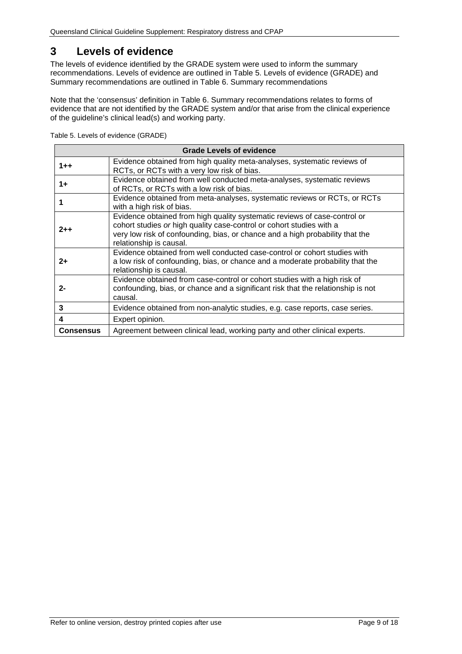# <span id="page-8-0"></span>**3 Levels of evidence**

The levels of evidence identified by the GRADE system were used to inform the summary recommendations. Levels of evidence are outlined in Table 5. [Levels of evidence \(GRADE\)](#page-8-1) and Summary recommendations are outlined in Table 6. [Summary recommendations](#page-9-1)

Note that the 'consensus' definition in [Table 6. Summary recommendations](#page-9-1) relates to forms of evidence that are not identified by the GRADE system and/or that arise from the clinical experience of the guideline's clinical lead(s) and working party.

<span id="page-8-1"></span>

|  |  | Table 5. Levels of evidence (GRADE) |  |
|--|--|-------------------------------------|--|
|--|--|-------------------------------------|--|

| <b>Grade Levels of evidence</b> |                                                                                                                                                                                                                                                               |  |
|---------------------------------|---------------------------------------------------------------------------------------------------------------------------------------------------------------------------------------------------------------------------------------------------------------|--|
| $1 + +$                         | Evidence obtained from high quality meta-analyses, systematic reviews of<br>RCTs, or RCTs with a very low risk of bias.                                                                                                                                       |  |
| 1+                              | Evidence obtained from well conducted meta-analyses, systematic reviews<br>of RCTs, or RCTs with a low risk of bias.                                                                                                                                          |  |
|                                 | Evidence obtained from meta-analyses, systematic reviews or RCTs, or RCTs<br>with a high risk of bias.                                                                                                                                                        |  |
| 2++                             | Evidence obtained from high quality systematic reviews of case-control or<br>cohort studies or high quality case-control or cohort studies with a<br>very low risk of confounding, bias, or chance and a high probability that the<br>relationship is causal. |  |
| $2+$                            | Evidence obtained from well conducted case-control or cohort studies with<br>a low risk of confounding, bias, or chance and a moderate probability that the<br>relationship is causal.                                                                        |  |
| $2 -$                           | Evidence obtained from case-control or cohort studies with a high risk of<br>confounding, bias, or chance and a significant risk that the relationship is not<br>causal.                                                                                      |  |
| 3                               | Evidence obtained from non-analytic studies, e.g. case reports, case series.                                                                                                                                                                                  |  |
| 4                               | Expert opinion.                                                                                                                                                                                                                                               |  |
| <b>Consensus</b>                | Agreement between clinical lead, working party and other clinical experts.                                                                                                                                                                                    |  |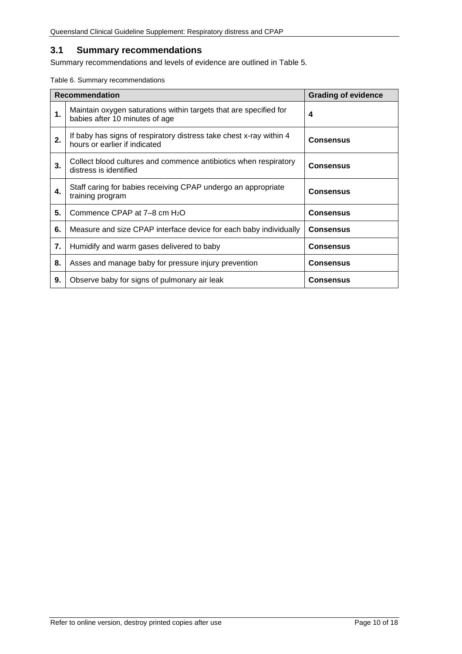# <span id="page-9-0"></span>**3.1 Summary recommendations**

Summary recommendations and levels of evidence are outlined in Table 5.

<span id="page-9-1"></span>Table 6. Summary recommendations

|    | <b>Recommendation</b>                                                                                | <b>Grading of evidence</b> |
|----|------------------------------------------------------------------------------------------------------|----------------------------|
| 1. | Maintain oxygen saturations within targets that are specified for<br>babies after 10 minutes of age  | 4                          |
| 2. | If baby has signs of respiratory distress take chest x-ray within 4<br>hours or earlier if indicated | <b>Consensus</b>           |
| 3. | Collect blood cultures and commence antibiotics when respiratory<br>distress is identified           | <b>Consensus</b>           |
| 4. | Staff caring for babies receiving CPAP undergo an appropriate<br>training program                    | <b>Consensus</b>           |
| 5. | Commence CPAP at $7-8$ cm $H_2O$                                                                     | <b>Consensus</b>           |
| 6. | Measure and size CPAP interface device for each baby individually                                    | <b>Consensus</b>           |
| 7. | Humidify and warm gases delivered to baby                                                            | <b>Consensus</b>           |
| 8. | Asses and manage baby for pressure injury prevention                                                 | <b>Consensus</b>           |
| 9. | Observe baby for signs of pulmonary air leak                                                         | <b>Consensus</b>           |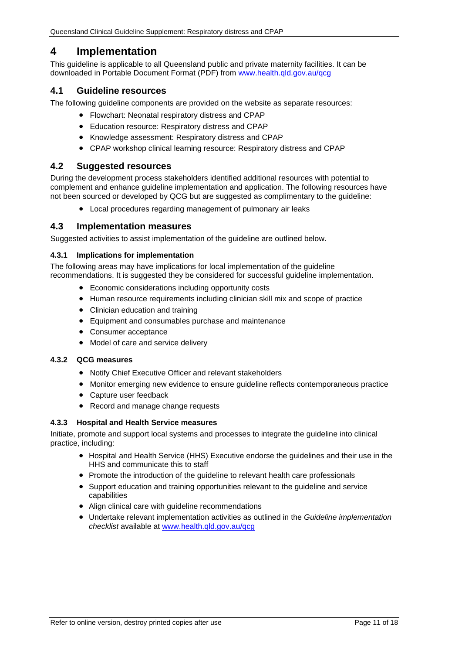# <span id="page-10-0"></span>**4 Implementation**

This guideline is applicable to all Queensland public and private maternity facilities. It can be downloaded in Portable Document Format (PDF) from [www.health.qld.gov.au/qcg](http://www.health.qld.gov.au/qcg)

# <span id="page-10-1"></span>**4.1 Guideline resources**

The following guideline components are provided on the website as separate resources:

- Flowchart: Neonatal respiratory distress and CPAP
- Education resource: Respiratory distress and CPAP
- Knowledge assessment: Respiratory distress and CPAP
- CPAP workshop clinical learning resource: Respiratory distress and CPAP

## <span id="page-10-2"></span>**4.2 Suggested resources**

During the development process stakeholders identified additional resources with potential to complement and enhance guideline implementation and application. The following resources have not been sourced or developed by QCG but are suggested as complimentary to the guideline:

• Local procedures regarding management of pulmonary air leaks

## <span id="page-10-3"></span>**4.3 Implementation measures**

Suggested activities to assist implementation of the guideline are outlined below.

#### <span id="page-10-4"></span>**4.3.1 Implications for implementation**

The following areas may have implications for local implementation of the guideline recommendations. It is suggested they be considered for successful guideline implementation.

- Economic considerations including opportunity costs
- Human resource requirements including clinician skill mix and scope of practice
- Clinician education and training
- Equipment and consumables purchase and maintenance
- Consumer acceptance
- Model of care and service delivery

#### <span id="page-10-5"></span>**4.3.2 QCG measures**

- Notify Chief Executive Officer and relevant stakeholders
- Monitor emerging new evidence to ensure guideline reflects contemporaneous practice
- Capture user feedback
- Record and manage change requests

#### <span id="page-10-6"></span>**4.3.3 Hospital and Health Service measures**

Initiate, promote and support local systems and processes to integrate the guideline into clinical practice, including:

- Hospital and Health Service (HHS) Executive endorse the guidelines and their use in the HHS and communicate this to staff
- Promote the introduction of the guideline to relevant health care professionals
- Support education and training opportunities relevant to the guideline and service capabilities
- Align clinical care with guideline recommendations
- Undertake relevant implementation activities as outlined in the *Guideline implementation checklist* available at [www.health.qld.gov.au/qcg](http://www.health.qld.gov.au/qcg)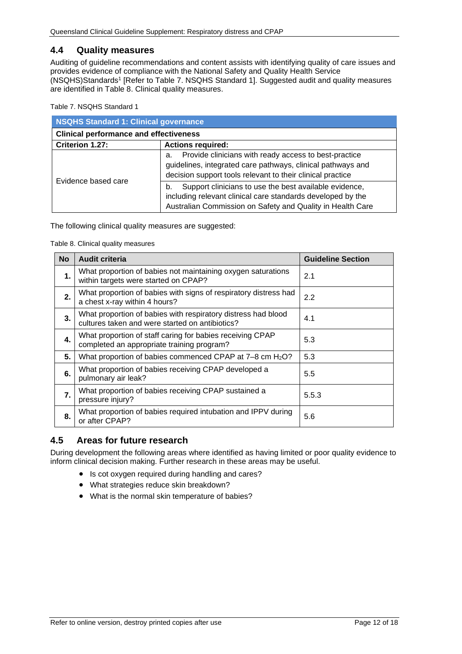## <span id="page-11-0"></span>**4.4 Quality measures**

Auditing of guideline recommendations and content assists with identifying quality of care issues and provides evidence of compliance with the National Safety and Quality Health Service (NSQHS)Standards1 [Refer to Table 7. [NSQHS Standard 1\]](#page-11-2). Suggested audit and quality measures are identified in [Table 8. Clinical quality measures.](#page-11-3)

<span id="page-11-2"></span>Table 7. NSQHS Standard 1

| NSQHS Standard 1: Clinical governance         |                                                                                                                                                                                           |  |
|-----------------------------------------------|-------------------------------------------------------------------------------------------------------------------------------------------------------------------------------------------|--|
| <b>Clinical performance and effectiveness</b> |                                                                                                                                                                                           |  |
| Criterion 1.27:                               | <b>Actions required:</b>                                                                                                                                                                  |  |
|                                               | Provide clinicians with ready access to best-practice<br>a.<br>guidelines, integrated care pathways, clinical pathways and<br>decision support tools relevant to their clinical practice  |  |
| Evidence based care                           | Support clinicians to use the best available evidence,<br>b.<br>including relevant clinical care standards developed by the<br>Australian Commission on Safety and Quality in Health Care |  |

<span id="page-11-3"></span>The following clinical quality measures are suggested:

Table 8. Clinical quality measures

| <b>No</b> | <b>Audit criteria</b>                                                                                            | <b>Guideline Section</b> |
|-----------|------------------------------------------------------------------------------------------------------------------|--------------------------|
| 1.        | What proportion of babies not maintaining oxygen saturations<br>within targets were started on CPAP?             | 2.1                      |
| 2.        | What proportion of babies with signs of respiratory distress had<br>a chest x-ray within 4 hours?                | 2.2                      |
| 3.        | What proportion of babies with respiratory distress had blood<br>cultures taken and were started on antibiotics? | 4.1                      |
| 4.        | What proportion of staff caring for babies receiving CPAP<br>completed an appropriate training program?          | 5.3                      |
| 5.        | What proportion of babies commenced CPAP at 7-8 cm H <sub>2</sub> O?                                             | 5.3                      |
| 6.        | What proportion of babies receiving CPAP developed a<br>pulmonary air leak?                                      | 5.5                      |
| 7.        | What proportion of babies receiving CPAP sustained a<br>pressure injury?                                         | 5.5.3                    |
| 8.        | What proportion of babies required intubation and IPPV during<br>or after CPAP?                                  | 5.6                      |

## <span id="page-11-1"></span>**4.5 Areas for future research**

During development the following areas where identified as having limited or poor quality evidence to inform clinical decision making. Further research in these areas may be useful.

- Is cot oxygen required during handling and cares?
- What strategies reduce skin breakdown?
- What is the normal skin temperature of babies?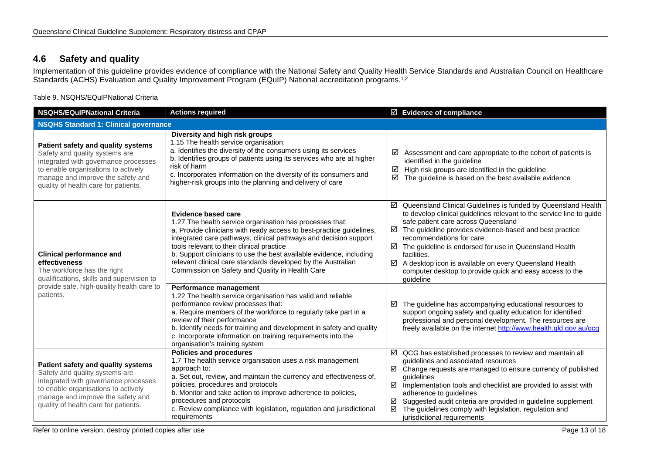# **4.6 Safety and quality**

Implementation of this guideline provides evidence of compliance with the National Safety and Quality Health Service Standards and Australian Council on Healthcare Standards (ACHS) Evaluation and Quality Improvement Program (EQuIP) National accreditation programs.1,2

Table 9. NSQHS/EQuIPNational Criteria

<span id="page-12-1"></span><span id="page-12-0"></span>

| <b>NSQHS/EQulPNational Criteria</b>                                                                                                                                                                                              | <b>Actions required</b>                                                                                                                                                                                                                                                                                                                                                                                                                                                   | $\boxtimes$ Evidence of compliance                                                                                                                                                                                                                                                                                                                                                                                                                                                            |  |  |
|----------------------------------------------------------------------------------------------------------------------------------------------------------------------------------------------------------------------------------|---------------------------------------------------------------------------------------------------------------------------------------------------------------------------------------------------------------------------------------------------------------------------------------------------------------------------------------------------------------------------------------------------------------------------------------------------------------------------|-----------------------------------------------------------------------------------------------------------------------------------------------------------------------------------------------------------------------------------------------------------------------------------------------------------------------------------------------------------------------------------------------------------------------------------------------------------------------------------------------|--|--|
| NSQHS Standard 1: Clinical governance                                                                                                                                                                                            |                                                                                                                                                                                                                                                                                                                                                                                                                                                                           |                                                                                                                                                                                                                                                                                                                                                                                                                                                                                               |  |  |
| Patient safety and quality systems<br>Safety and quality systems are<br>integrated with governance processes<br>to enable organisations to actively<br>manage and improve the safety and<br>quality of health care for patients. | Diversity and high risk groups<br>1.15 The health service organisation:<br>a. Identifies the diversity of the consumers using its services<br>b. Identifies groups of patients using its services who are at higher<br>risk of harm<br>c. Incorporates information on the diversity of its consumers and<br>higher-risk groups into the planning and delivery of care                                                                                                     | Assessment and care appropriate to the cohort of patients is<br>☑<br>identified in the guideline<br>High risk groups are identified in the guideline<br>☑<br>☑<br>The guideline is based on the best available evidence                                                                                                                                                                                                                                                                       |  |  |
| <b>Clinical performance and</b><br>effectiveness<br>The workforce has the right<br>qualifications, skills and supervision to                                                                                                     | <b>Evidence based care</b><br>1.27 The health service organisation has processes that:<br>a. Provide clinicians with ready access to best-practice guidelines,<br>integrated care pathways, clinical pathways and decision support<br>tools relevant to their clinical practice<br>b. Support clinicians to use the best available evidence, including<br>relevant clinical care standards developed by the Australian<br>Commission on Safety and Quality in Health Care | ☑ Queensland Clinical Guidelines is funded by Queensland Health<br>to develop clinical guidelines relevant to the service line to guide<br>safe patient care across Queensland<br>The guideline provides evidence-based and best practice<br>☑<br>recommendations for care<br>☑ The guideline is endorsed for use in Queensland Health<br>facilities.<br>☑<br>A desktop icon is available on every Queensland Health<br>computer desktop to provide quick and easy access to the<br>guideline |  |  |
| provide safe, high-quality health care to<br>patients.                                                                                                                                                                           | Performance management<br>1.22 The health service organisation has valid and reliable<br>performance review processes that:<br>a. Require members of the workforce to regularly take part in a<br>review of their performance<br>b. Identify needs for training and development in safety and quality<br>c. Incorporate information on training requirements into the<br>organisation's training system                                                                   | The guideline has accompanying educational resources to<br>☑<br>support ongoing safety and quality education for identified<br>professional and personal development. The resources are<br>freely available on the internet http://www.health.qld.gov.au/qcg                                                                                                                                                                                                                                  |  |  |
| Patient safety and quality systems<br>Safety and quality systems are<br>integrated with governance processes<br>to enable organisations to actively<br>manage and improve the safety and<br>quality of health care for patients. | <b>Policies and procedures</b><br>1.7 The health service organisation uses a risk management<br>approach to:<br>a. Set out, review, and maintain the currency and effectiveness of,<br>policies, procedures and protocols<br>b. Monitor and take action to improve adherence to policies,<br>procedures and protocols<br>c. Review compliance with legislation, regulation and jurisdictional<br>requirements                                                             | $\boxtimes$ QCG has established processes to review and maintain all<br>guidelines and associated resources<br>☑ Change requests are managed to ensure currency of published<br>guidelines<br>$\boxtimes$ Implementation tools and checklist are provided to assist with<br>adherence to guidelines<br>Suggested audit criteria are provided in guideline supplement<br>☑<br>The guidelines comply with legislation, regulation and<br>☑<br>jurisdictional requirements                       |  |  |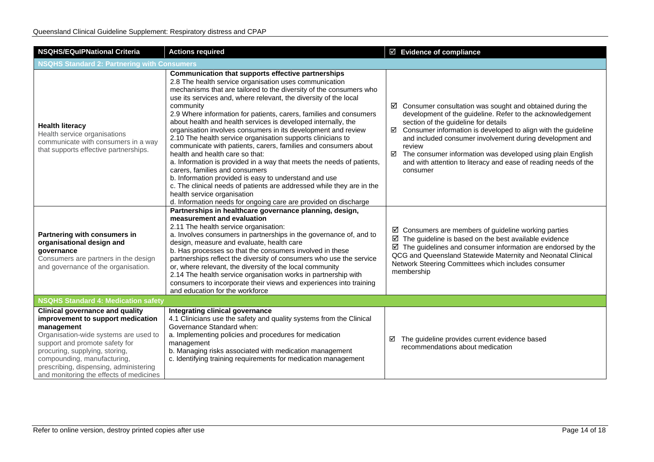| <b>NSQHS/EQuIPNational Criteria</b>                                                                                                                                                                                                                                                                                        | <b>Actions required</b>                                                                                                                                                                                                                                                                                                                                                                                                                                                                                                                                                                                                                                                                                                                                                                                                                                                                                                                                                                         | $\boxdot$ Evidence of compliance                                                                                                                                                                                                                                                                                                                                                                                                                                                |  |
|----------------------------------------------------------------------------------------------------------------------------------------------------------------------------------------------------------------------------------------------------------------------------------------------------------------------------|-------------------------------------------------------------------------------------------------------------------------------------------------------------------------------------------------------------------------------------------------------------------------------------------------------------------------------------------------------------------------------------------------------------------------------------------------------------------------------------------------------------------------------------------------------------------------------------------------------------------------------------------------------------------------------------------------------------------------------------------------------------------------------------------------------------------------------------------------------------------------------------------------------------------------------------------------------------------------------------------------|---------------------------------------------------------------------------------------------------------------------------------------------------------------------------------------------------------------------------------------------------------------------------------------------------------------------------------------------------------------------------------------------------------------------------------------------------------------------------------|--|
| <b>NSQHS Standard 2: Partnering with Consumers</b>                                                                                                                                                                                                                                                                         |                                                                                                                                                                                                                                                                                                                                                                                                                                                                                                                                                                                                                                                                                                                                                                                                                                                                                                                                                                                                 |                                                                                                                                                                                                                                                                                                                                                                                                                                                                                 |  |
| <b>Health literacy</b><br>Health service organisations<br>communicate with consumers in a way<br>that supports effective partnerships.                                                                                                                                                                                     | Communication that supports effective partnerships<br>2.8 The health service organisation uses communication<br>mechanisms that are tailored to the diversity of the consumers who<br>use its services and, where relevant, the diversity of the local<br>community<br>2.9 Where information for patients, carers, families and consumers<br>about health and health services is developed internally, the<br>organisation involves consumers in its development and review<br>2.10 The health service organisation supports clinicians to<br>communicate with patients, carers, families and consumers about<br>health and health care so that:<br>a. Information is provided in a way that meets the needs of patients,<br>carers, families and consumers<br>b. Information provided is easy to understand and use<br>c. The clinical needs of patients are addressed while they are in the<br>health service organisation<br>d. Information needs for ongoing care are provided on discharge | $\boxtimes$ Consumer consultation was sought and obtained during the<br>development of the guideline. Refer to the acknowledgement<br>section of the guideline for details<br>$\boxtimes$ Consumer information is developed to align with the guideline<br>and included consumer involvement during development and<br>review<br>The consumer information was developed using plain English<br>☑<br>and with attention to literacy and ease of reading needs of the<br>consumer |  |
| Partnering with consumers in<br>organisational design and<br>governance<br>Consumers are partners in the design<br>and governance of the organisation.                                                                                                                                                                     | Partnerships in healthcare governance planning, design,<br>measurement and evaluation<br>2.11 The health service organisation:<br>a. Involves consumers in partnerships in the governance of, and to<br>design, measure and evaluate, health care<br>b. Has processes so that the consumers involved in these<br>partnerships reflect the diversity of consumers who use the service<br>or, where relevant, the diversity of the local community<br>2.14 The health service organisation works in partnership with<br>consumers to incorporate their views and experiences into training<br>and education for the workforce                                                                                                                                                                                                                                                                                                                                                                     | $\boxtimes$ Consumers are members of guideline working parties<br>$\boxtimes$ The guideline is based on the best available evidence<br>$\boxtimes$ The guidelines and consumer information are endorsed by the<br>QCG and Queensland Statewide Maternity and Neonatal Clinical<br>Network Steering Committees which includes consumer<br>membership                                                                                                                             |  |
| <b>NSQHS Standard 4: Medication safety</b>                                                                                                                                                                                                                                                                                 |                                                                                                                                                                                                                                                                                                                                                                                                                                                                                                                                                                                                                                                                                                                                                                                                                                                                                                                                                                                                 |                                                                                                                                                                                                                                                                                                                                                                                                                                                                                 |  |
| <b>Clinical governance and quality</b><br>improvement to support medication<br>management<br>Organisation-wide systems are used to<br>support and promote safety for<br>procuring, supplying, storing,<br>compounding, manufacturing,<br>prescribing, dispensing, administering<br>and monitoring the effects of medicines | Integrating clinical governance<br>4.1 Clinicians use the safety and quality systems from the Clinical<br>Governance Standard when:<br>a. Implementing policies and procedures for medication<br>management<br>b. Managing risks associated with medication management<br>c. Identifying training requirements for medication management                                                                                                                                                                                                                                                                                                                                                                                                                                                                                                                                                                                                                                                        | The guideline provides current evidence based<br>☑<br>recommendations about medication                                                                                                                                                                                                                                                                                                                                                                                          |  |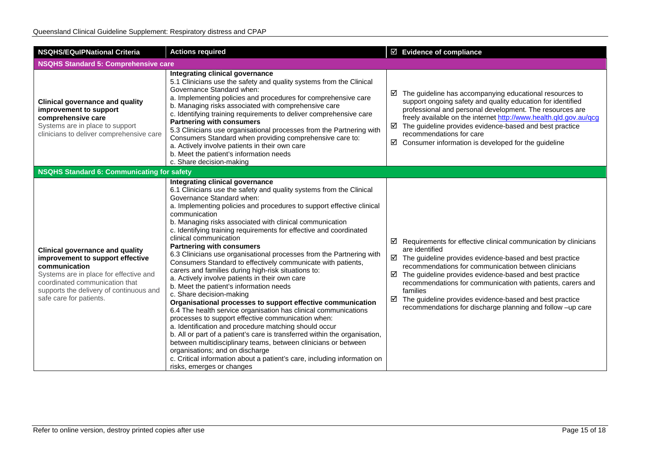| <b>NSQHS/EQuIPNational Criteria</b>                                                                                                                                                                                                           | <b>Actions required</b>                                                                                                                                                                                                                                                                                                                                                                                                                                                                                                                                                                                                                                                                                                                                                                                                                                                                                                                                                                                                                                                                                                                                                                                                                                                                            | ☑ Evidence of compliance                                                                                                                                                                                                                                                                                                                                                                                                                                                                                            |  |
|-----------------------------------------------------------------------------------------------------------------------------------------------------------------------------------------------------------------------------------------------|----------------------------------------------------------------------------------------------------------------------------------------------------------------------------------------------------------------------------------------------------------------------------------------------------------------------------------------------------------------------------------------------------------------------------------------------------------------------------------------------------------------------------------------------------------------------------------------------------------------------------------------------------------------------------------------------------------------------------------------------------------------------------------------------------------------------------------------------------------------------------------------------------------------------------------------------------------------------------------------------------------------------------------------------------------------------------------------------------------------------------------------------------------------------------------------------------------------------------------------------------------------------------------------------------|---------------------------------------------------------------------------------------------------------------------------------------------------------------------------------------------------------------------------------------------------------------------------------------------------------------------------------------------------------------------------------------------------------------------------------------------------------------------------------------------------------------------|--|
| <b>NSQHS Standard 5: Comprehensive care</b>                                                                                                                                                                                                   |                                                                                                                                                                                                                                                                                                                                                                                                                                                                                                                                                                                                                                                                                                                                                                                                                                                                                                                                                                                                                                                                                                                                                                                                                                                                                                    |                                                                                                                                                                                                                                                                                                                                                                                                                                                                                                                     |  |
| <b>Clinical governance and quality</b><br>improvement to support<br>comprehensive care<br>Systems are in place to support<br>clinicians to deliver comprehensive care                                                                         | Integrating clinical governance<br>5.1 Clinicians use the safety and quality systems from the Clinical<br>Governance Standard when:<br>a. Implementing policies and procedures for comprehensive care<br>b. Managing risks associated with comprehensive care<br>c. Identifying training requirements to deliver comprehensive care<br><b>Partnering with consumers</b><br>5.3 Clinicians use organisational processes from the Partnering with<br>Consumers Standard when providing comprehensive care to:<br>a. Actively involve patients in their own care<br>b. Meet the patient's information needs<br>c. Share decision-making                                                                                                                                                                                                                                                                                                                                                                                                                                                                                                                                                                                                                                                               | $\boxtimes$ The guideline has accompanying educational resources to<br>support ongoing safety and quality education for identified<br>professional and personal development. The resources are<br>freely available on the internet http://www.health.qld.gov.au/qcg<br>$\boxtimes$ The guideline provides evidence-based and best practice<br>recommendations for care<br>$\boxtimes$ Consumer information is developed for the guideline                                                                           |  |
| <b>NSQHS Standard 6: Communicating for safety</b>                                                                                                                                                                                             |                                                                                                                                                                                                                                                                                                                                                                                                                                                                                                                                                                                                                                                                                                                                                                                                                                                                                                                                                                                                                                                                                                                                                                                                                                                                                                    |                                                                                                                                                                                                                                                                                                                                                                                                                                                                                                                     |  |
| <b>Clinical governance and quality</b><br>improvement to support effective<br>communication<br>Systems are in place for effective and<br>coordinated communication that<br>supports the delivery of continuous and<br>safe care for patients. | Integrating clinical governance<br>6.1 Clinicians use the safety and quality systems from the Clinical<br>Governance Standard when:<br>a. Implementing policies and procedures to support effective clinical<br>communication<br>b. Managing risks associated with clinical communication<br>c. Identifying training requirements for effective and coordinated<br>clinical communication<br><b>Partnering with consumers</b><br>6.3 Clinicians use organisational processes from the Partnering with<br>Consumers Standard to effectively communicate with patients,<br>carers and families during high-risk situations to:<br>a. Actively involve patients in their own care<br>b. Meet the patient's information needs<br>c. Share decision-making<br>Organisational processes to support effective communication<br>6.4 The health service organisation has clinical communications<br>processes to support effective communication when:<br>a. Identification and procedure matching should occur<br>b. All or part of a patient's care is transferred within the organisation,<br>between multidisciplinary teams, between clinicians or between<br>organisations; and on discharge<br>c. Critical information about a patient's care, including information on<br>risks, emerges or changes | $\boxtimes$ Requirements for effective clinical communication by clinicians<br>are identified<br>$\boxtimes$ The guideline provides evidence-based and best practice<br>recommendations for communication between clinicians<br>$\boxtimes$ The guideline provides evidence-based and best practice<br>recommendations for communication with patients, carers and<br>families<br>$\boxtimes$ The guideline provides evidence-based and best practice<br>recommendations for discharge planning and follow -up care |  |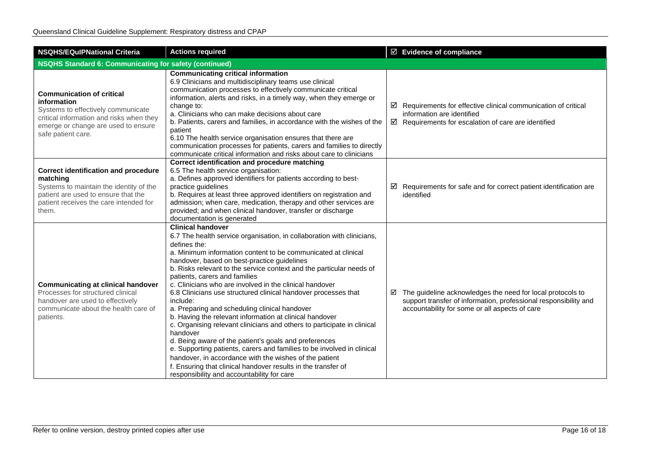| <b>NSQHS/EQuIPNational Criteria</b>                                                                                                                                                            | <b>Actions required</b>                                                                                                                                                                                                                                                                                                                                                                                                                                                                                                                                                                                                                                                                                                                                                                                                                                                                                                                                                                             | $\boxtimes$ Evidence of compliance                                                                                                                                                           |  |
|------------------------------------------------------------------------------------------------------------------------------------------------------------------------------------------------|-----------------------------------------------------------------------------------------------------------------------------------------------------------------------------------------------------------------------------------------------------------------------------------------------------------------------------------------------------------------------------------------------------------------------------------------------------------------------------------------------------------------------------------------------------------------------------------------------------------------------------------------------------------------------------------------------------------------------------------------------------------------------------------------------------------------------------------------------------------------------------------------------------------------------------------------------------------------------------------------------------|----------------------------------------------------------------------------------------------------------------------------------------------------------------------------------------------|--|
| <b>NSQHS Standard 6: Communicating for safety (continued)</b>                                                                                                                                  |                                                                                                                                                                                                                                                                                                                                                                                                                                                                                                                                                                                                                                                                                                                                                                                                                                                                                                                                                                                                     |                                                                                                                                                                                              |  |
| <b>Communication of critical</b><br>information<br>Systems to effectively communicate<br>critical information and risks when they<br>emerge or change are used to ensure<br>safe patient care. | <b>Communicating critical information</b><br>6.9 Clinicians and multidisciplinary teams use clinical<br>communication processes to effectively communicate critical<br>information, alerts and risks, in a timely way, when they emerge or<br>change to:<br>a. Clinicians who can make decisions about care<br>b. Patients, carers and families, in accordance with the wishes of the<br>patient<br>6.10 The health service organisation ensures that there are<br>communication processes for patients, carers and families to directly<br>communicate critical information and risks about care to clinicians                                                                                                                                                                                                                                                                                                                                                                                     | $\boxtimes$ Requirements for effective clinical communication of critical<br>information are identified<br>$\boxtimes$ Requirements for escalation of care are identified                    |  |
| <b>Correct identification and procedure</b><br>matching<br>Systems to maintain the identity of the<br>patient are used to ensure that the<br>patient receives the care intended for<br>them.   | Correct identification and procedure matching<br>6.5 The health service organisation:<br>a. Defines approved identifiers for patients according to best-<br>practice guidelines<br>b. Requires at least three approved identifiers on registration and<br>admission; when care, medication, therapy and other services are<br>provided; and when clinical handover, transfer or discharge<br>documentation is generated                                                                                                                                                                                                                                                                                                                                                                                                                                                                                                                                                                             | $\boxtimes$ Requirements for safe and for correct patient identification are<br>identified                                                                                                   |  |
| <b>Communicating at clinical handover</b><br>Processes for structured clinical<br>handover are used to effectively<br>communicate about the health care of<br>patients.                        | <b>Clinical handover</b><br>6.7 The health service organisation, in collaboration with clinicians,<br>defines the:<br>a. Minimum information content to be communicated at clinical<br>handover, based on best-practice guidelines<br>b. Risks relevant to the service context and the particular needs of<br>patients, carers and families<br>c. Clinicians who are involved in the clinical handover<br>6.8 Clinicians use structured clinical handover processes that<br>include:<br>a. Preparing and scheduling clinical handover<br>b. Having the relevant information at clinical handover<br>c. Organising relevant clinicians and others to participate in clinical<br>handover<br>d. Being aware of the patient's goals and preferences<br>e. Supporting patients, carers and families to be involved in clinical<br>handover, in accordance with the wishes of the patient<br>f. Ensuring that clinical handover results in the transfer of<br>responsibility and accountability for care | $\boxtimes$ The guideline acknowledges the need for local protocols to<br>support transfer of information, professional responsibility and<br>accountability for some or all aspects of care |  |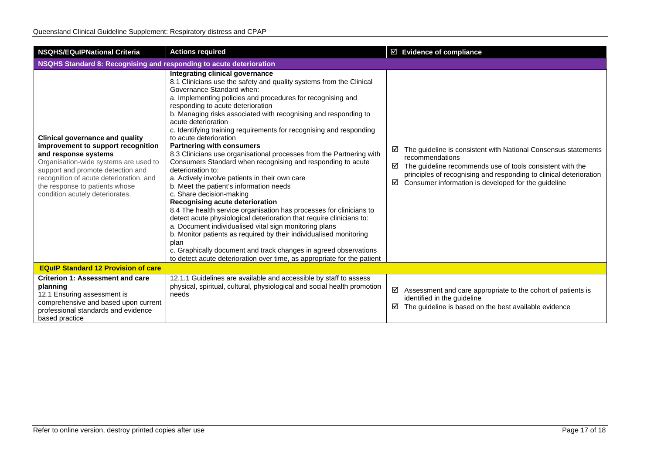| <b>NSQHS/EQulPNational Criteria</b>                                                                                                                                                                                                                                                                | <b>Actions required</b>                                                                                                                                                                                                                                                                                                                                                                                                                                                                                                                                                                                                                                                                                                                                                                                                                                                                                                                                                                                                                                                                                                                                                                                                              | $\boxtimes$ Evidence of compliance                                                                                                                                                                                                                                                         |  |
|----------------------------------------------------------------------------------------------------------------------------------------------------------------------------------------------------------------------------------------------------------------------------------------------------|--------------------------------------------------------------------------------------------------------------------------------------------------------------------------------------------------------------------------------------------------------------------------------------------------------------------------------------------------------------------------------------------------------------------------------------------------------------------------------------------------------------------------------------------------------------------------------------------------------------------------------------------------------------------------------------------------------------------------------------------------------------------------------------------------------------------------------------------------------------------------------------------------------------------------------------------------------------------------------------------------------------------------------------------------------------------------------------------------------------------------------------------------------------------------------------------------------------------------------------|--------------------------------------------------------------------------------------------------------------------------------------------------------------------------------------------------------------------------------------------------------------------------------------------|--|
| NSQHS Standard 8: Recognising and responding to acute deterioration                                                                                                                                                                                                                                |                                                                                                                                                                                                                                                                                                                                                                                                                                                                                                                                                                                                                                                                                                                                                                                                                                                                                                                                                                                                                                                                                                                                                                                                                                      |                                                                                                                                                                                                                                                                                            |  |
| <b>Clinical governance and quality</b><br>improvement to support recognition<br>and response systems<br>Organisation-wide systems are used to<br>support and promote detection and<br>recognition of acute deterioration, and<br>the response to patients whose<br>condition acutely deteriorates. | Integrating clinical governance<br>8.1 Clinicians use the safety and quality systems from the Clinical<br>Governance Standard when:<br>a. Implementing policies and procedures for recognising and<br>responding to acute deterioration<br>b. Managing risks associated with recognising and responding to<br>acute deterioration<br>c. Identifying training requirements for recognising and responding<br>to acute deterioration<br><b>Partnering with consumers</b><br>8.3 Clinicians use organisational processes from the Partnering with<br>Consumers Standard when recognising and responding to acute<br>deterioration to:<br>a. Actively involve patients in their own care<br>b. Meet the patient's information needs<br>c. Share decision-making<br>Recognising acute deterioration<br>8.4 The health service organisation has processes for clinicians to<br>detect acute physiological deterioration that require clinicians to:<br>a. Document individualised vital sign monitoring plans<br>b. Monitor patients as required by their individualised monitoring<br>plan<br>c. Graphically document and track changes in agreed observations<br>to detect acute deterioration over time, as appropriate for the patient | The guideline is consistent with National Consensus statements<br>☑<br>recommendations<br>The guideline recommends use of tools consistent with the<br>☑<br>principles of recognising and responding to clinical deterioration<br>Consumer information is developed for the guideline<br>☑ |  |
| <b>EQuIP Standard 12 Provision of care</b>                                                                                                                                                                                                                                                         |                                                                                                                                                                                                                                                                                                                                                                                                                                                                                                                                                                                                                                                                                                                                                                                                                                                                                                                                                                                                                                                                                                                                                                                                                                      |                                                                                                                                                                                                                                                                                            |  |
| <b>Criterion 1: Assessment and care</b><br>planning<br>12.1 Ensuring assessment is<br>comprehensive and based upon current<br>professional standards and evidence<br>based practice                                                                                                                | 12.1.1 Guidelines are available and accessible by staff to assess<br>physical, spiritual, cultural, physiological and social health promotion<br>needs                                                                                                                                                                                                                                                                                                                                                                                                                                                                                                                                                                                                                                                                                                                                                                                                                                                                                                                                                                                                                                                                               | ☑<br>Assessment and care appropriate to the cohort of patients is<br>identified in the guideline<br>The guideline is based on the best available evidence<br>☑                                                                                                                             |  |